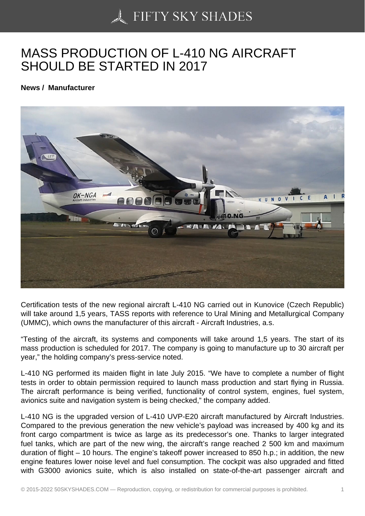## [MASS PRODUCTION](https://50skyshades.com) OF L-410 NG AIRCRAFT SHOULD BE STARTED IN 2017

News / Manufacturer

Certification tests of the new regional aircraft L-410 NG carried out in Kunovice (Czech Republic) will take around 1,5 years, TASS reports with reference to Ural Mining and Metallurgical Company (UMMC), which owns the manufacturer of this aircraft - Aircraft Industries, a.s.

"Testing of the aircraft, its systems and components will take around 1,5 years. The start of its mass production is scheduled for 2017. The company is going to manufacture up to 30 aircraft per year," the holding company's press-service noted.

L-410 NG performed its maiden flight in late July 2015. "We have to complete a number of flight tests in order to obtain permission required to launch mass production and start flying in Russia. The aircraft performance is being verified, functionality of control system, engines, fuel system, avionics suite and navigation system is being checked," the company added.

L-410 NG is the upgraded version of L-410 UVP-E20 aircraft manufactured by Aircraft Industries. Compared to the previous generation the new vehicle's payload was increased by 400 kg and its front cargo compartment is twice as large as its predecessor's one. Thanks to larger integrated fuel tanks, which are part of the new wing, the aircraft's range reached 2 500 km and maximum duration of flight – 10 hours. The engine's takeoff power increased to 850 h.p.; in addition, the new engine features lower noise level and fuel consumption. The cockpit was also upgraded and fitted with G3000 avionics suite, which is also installed on state-of-the-art passenger aircraft and